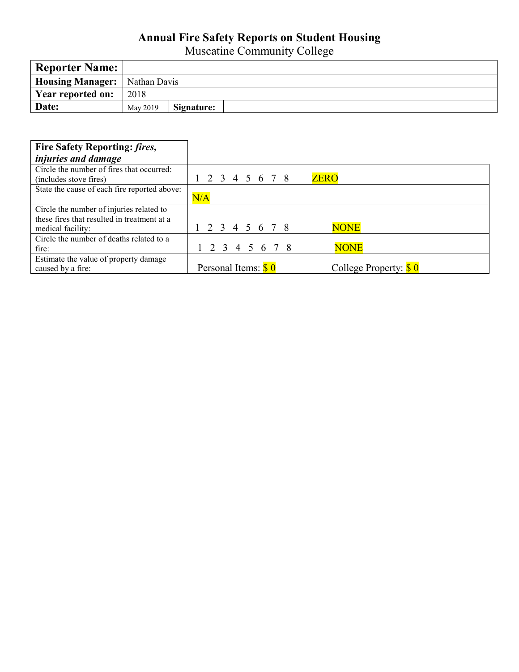## **Annual Fire Safety Reports on Student Housing**

Muscatine Community College

| <b>Reporter Name:</b>                  |          |            |  |
|----------------------------------------|----------|------------|--|
| <b>Housing Manager:</b>   Nathan Davis |          |            |  |
| Year reported on:                      | 2018     |            |  |
| Date:                                  | May 2019 | Signature: |  |

| Fire Safety Reporting: fires,                |                               |                                   |
|----------------------------------------------|-------------------------------|-----------------------------------|
| <i>injuries and damage</i>                   |                               |                                   |
| Circle the number of fires that occurred:    |                               |                                   |
| (includes stove fires)                       | 2 3 4 5 6 7 8                 | <b>ZERO</b>                       |
| State the cause of each fire reported above: |                               |                                   |
|                                              | N/A                           |                                   |
| Circle the number of injuries related to     |                               |                                   |
| these fires that resulted in treatment at a  |                               |                                   |
| medical facility:                            | 2 3 4 5 6 7 8                 | <b>NONE</b>                       |
| Circle the number of deaths related to a     |                               |                                   |
| fire:                                        | 1 2 3 4 5 6 7 8               | <b>NONE</b>                       |
| Estimate the value of property damage        |                               |                                   |
| caused by a fire:                            | Personal Items: $\frac{6}{9}$ | College Property: $\frac{6}{9}$ 0 |